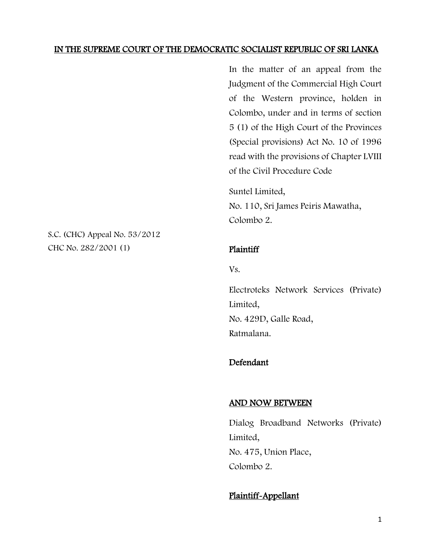### IN THE SUPREME COURT OF THE DEMOCRATIC SOCIALIST REPUBLIC OF SRI LANKA

In the matter of an appeal from the Judgment of the Commercial High Court of the Western province, holden in Colombo, under and in terms of section 5 (1) of the High Court of the Provinces (Special provisions) Act No. 10 of 1996 read with the provisions of Chapter LVIII of the Civil Procedure Code

Suntel Limited, No. 110, Sri James Peiris Mawatha, Colombo 2.

Plaintiff

Vs.

Electroteks Network Services (Private) Limited, No. 429D, Galle Road, Ratmalana.

### Defendant

#### AND NOW BETWEEN

Dialog Broadband Networks (Private) Limited, No. 475, Union Place, Colombo 2.

## Plaintiff-Appellant

S.C. (CHC) Appeal No. 53/2012 CHC No. 282/2001 (1)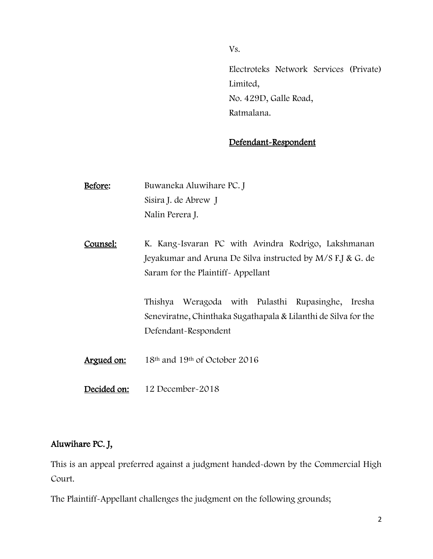Vs.

Electroteks Network Services (Private) Limited, No. 429D, Galle Road, Ratmalana.

# Defendant-Respondent

- Before: Buwaneka Aluwihare PC. J Sisira J. de Abrew J Nalin Perera J.
- Counsel: K. Kang-Isvaran PC with Avindra Rodrigo, Lakshmanan Jeyakumar and Aruna De Silva instructed by M/S F.J & G. de Saram for the Plaintiff- Appellant

Thishya Weragoda with Pulasthi Rupasinghe, Iresha Seneviratne, Chinthaka Sugathapala & Lilanthi de Silva for the Defendant-Respondent

Argued on: 18<sup>th</sup> and 19<sup>th</sup> of October 2016

Decided on: 12 December-2018

# Aluwihare PC. J,

This is an appeal preferred against a judgment handed-down by the Commercial High Court.

The Plaintiff-Appellant challenges the judgment on the following grounds;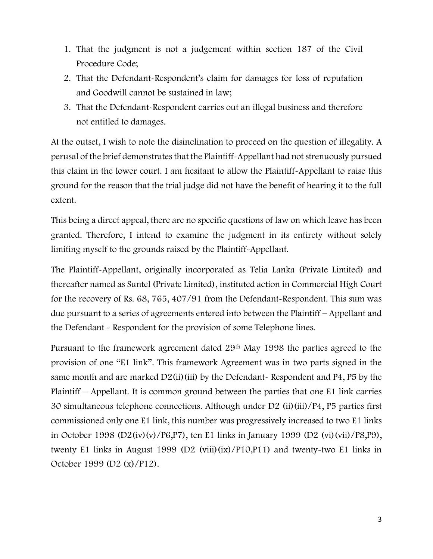- 1. That the judgment is not a judgement within section 187 of the Civil Procedure Code;
- 2. That the Defendant-Respondent's claim for damages for loss of reputation and Goodwill cannot be sustained in law;
- 3. That the Defendant-Respondent carries out an illegal business and therefore not entitled to damages.

At the outset, I wish to note the disinclination to proceed on the question of illegality. A perusal of the brief demonstrates that the Plaintiff-Appellant had not strenuously pursued this claim in the lower court. I am hesitant to allow the Plaintiff-Appellant to raise this ground for the reason that the trial judge did not have the benefit of hearing it to the full extent.

This being a direct appeal, there are no specific questions of law on which leave has been granted. Therefore, I intend to examine the judgment in its entirety without solely limiting myself to the grounds raised by the Plaintiff-Appellant.

The Plaintiff-Appellant, originally incorporated as Telia Lanka (Private Limited) and thereafter named as Suntel (Private Limited), instituted action in Commercial High Court for the recovery of Rs. 68, 765, 407/91 from the Defendant-Respondent. This sum was due pursuant to a series of agreements entered into between the Plaintiff – Appellant and the Defendant - Respondent for the provision of some Telephone lines.

Pursuant to the framework agreement dated 29th May 1998 the parties agreed to the provision of one "E1 link". This framework Agreement was in two parts signed in the same month and are marked  $D2(ii)(iii)$  by the Defendant- Respondent and P4, P5 by the Plaintiff – Appellant. It is common ground between the parties that one E1 link carries 30 simultaneous telephone connections. Although under D2 (ii)(iii)/P4, P5 parties first commissioned only one E1 link, this number was progressively increased to two E1 links in October 1998 (D2(iv)(v)/P6,P7), ten E1 links in January 1999 (D2 (vi)(vii)/P8,P9), twenty E1 links in August 1999 (D2 (viii)(ix)/P10,P11) and twenty-two E1 links in October 1999 (D2 (x)/P12).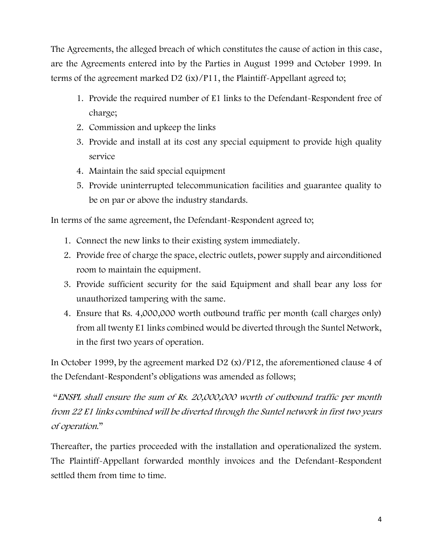The Agreements, the alleged breach of which constitutes the cause of action in this case, are the Agreements entered into by the Parties in August 1999 and October 1999. In terms of the agreement marked D2 (ix)/P11, the Plaintiff-Appellant agreed to;

- 1. Provide the required number of E1 links to the Defendant-Respondent free of charge;
- 2. Commission and upkeep the links
- 3. Provide and install at its cost any special equipment to provide high quality service
- 4. Maintain the said special equipment
- 5. Provide uninterrupted telecommunication facilities and guarantee quality to be on par or above the industry standards.

In terms of the same agreement, the Defendant-Respondent agreed to;

- 1. Connect the new links to their existing system immediately.
- 2. Provide free of charge the space, electric outlets, power supply and airconditioned room to maintain the equipment.
- 3. Provide sufficient security for the said Equipment and shall bear any loss for unauthorized tampering with the same.
- 4. Ensure that Rs. 4,000,000 worth outbound traffic per month (call charges only) from all twenty E1 links combined would be diverted through the Suntel Network, in the first two years of operation.

In October 1999, by the agreement marked D2 (x)/P12, the aforementioned clause 4 of the Defendant-Respondent's obligations was amended as follows;

"ENSPL shall ensure the sum of Rs. 20,000,000 worth of outbound traffic per month from 22 E1 links combined will be diverted through the Suntel network in first two years of operation."

Thereafter, the parties proceeded with the installation and operationalized the system. The Plaintiff-Appellant forwarded monthly invoices and the Defendant-Respondent settled them from time to time.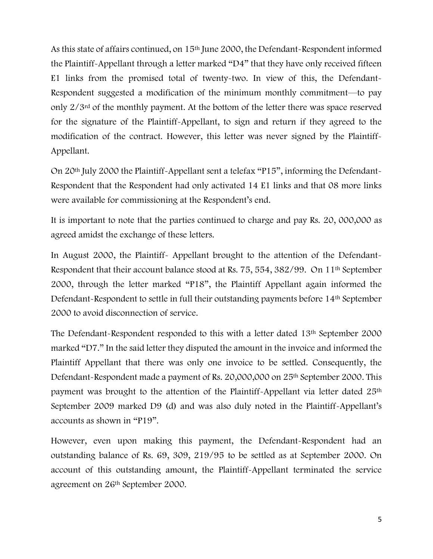As this state of affairs continued, on 15th June 2000, the Defendant-Respondent informed the Plaintiff-Appellant through a letter marked "D4" that they have only received fifteen E1 links from the promised total of twenty-two. In view of this, the Defendant-Respondent suggested a modification of the minimum monthly commitment—to pay only 2/3rd of the monthly payment. At the bottom of the letter there was space reserved for the signature of the Plaintiff-Appellant, to sign and return if they agreed to the modification of the contract. However, this letter was never signed by the Plaintiff-Appellant.

On 20th July 2000 the Plaintiff-Appellant sent a telefax "P15", informing the Defendant-Respondent that the Respondent had only activated 14 E1 links and that 08 more links were available for commissioning at the Respondent's end.

It is important to note that the parties continued to charge and pay Rs. 20, 000,000 as agreed amidst the exchange of these letters.

In August 2000, the Plaintiff- Appellant brought to the attention of the Defendant-Respondent that their account balance stood at Rs. 75, 554, 382/99. On 11th September 2000, through the letter marked "P18", the Plaintiff Appellant again informed the Defendant-Respondent to settle in full their outstanding payments before 14th September 2000 to avoid disconnection of service.

The Defendant-Respondent responded to this with a letter dated 13th September 2000 marked "D7." In the said letter they disputed the amount in the invoice and informed the Plaintiff Appellant that there was only one invoice to be settled. Consequently, the Defendant-Respondent made a payment of Rs. 20,000,000 on 25th September 2000. This payment was brought to the attention of the Plaintiff-Appellant via letter dated 25th September 2009 marked D9 (d) and was also duly noted in the Plaintiff-Appellant's accounts as shown in "P19".

However, even upon making this payment, the Defendant-Respondent had an outstanding balance of Rs. 69, 309, 219/95 to be settled as at September 2000. On account of this outstanding amount, the Plaintiff-Appellant terminated the service agreement on 26th September 2000.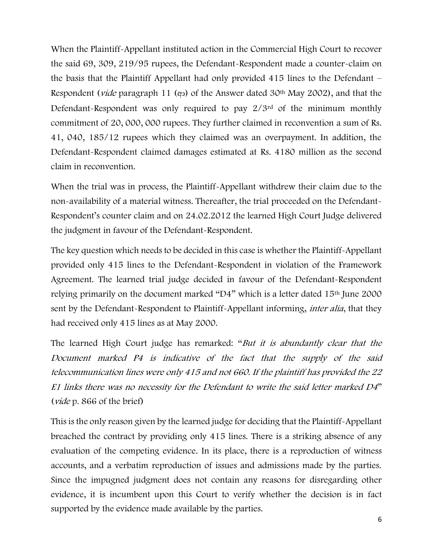When the Plaintiff-Appellant instituted action in the Commercial High Court to recover the said 69, 309, 219/95 rupees, the Defendant-Respondent made a counter-claim on the basis that the Plaintiff Appellant had only provided 415 lines to the Defendant – Respondent (*vide* paragraph 11 (අං) of the Answer dated 30<sup>th</sup> May 2002), and that the Defendant-Respondent was only required to pay 2/3rd of the minimum monthly commitment of 20, 000, 000 rupees. They further claimed in reconvention a sum of Rs. 41, 040, 185/12 rupees which they claimed was an overpayment. In addition, the Defendant-Respondent claimed damages estimated at Rs. 4180 million as the second claim in reconvention.

When the trial was in process, the Plaintiff-Appellant withdrew their claim due to the non-availability of a material witness. Thereafter, the trial proceeded on the Defendant-Respondent's counter claim and on 24.02.2012 the learned High Court Judge delivered the judgment in favour of the Defendant-Respondent.

The key question which needs to be decided in this case is whether the Plaintiff-Appellant provided only 415 lines to the Defendant-Respondent in violation of the Framework Agreement. The learned trial judge decided in favour of the Defendant-Respondent relying primarily on the document marked "D4" which is a letter dated 15th June 2000 sent by the Defendant-Respondent to Plaintiff-Appellant informing, *inter alia*, that they had received only 415 lines as at May 2000.

The learned High Court judge has remarked: "But it is abundantly clear that the Document marked P4 is indicative of the fact that the supply of the said telecommunication lines were only 415 and not 660. If the plaintiff has provided the 22 E1 links there was no necessity for the Defendant to write the said letter marked D4" (vide p. 866 of the brief)

This is the only reason given by the learned judge for deciding that the Plaintiff-Appellant breached the contract by providing only 415 lines. There is a striking absence of any evaluation of the competing evidence. In its place, there is a reproduction of witness accounts, and a verbatim reproduction of issues and admissions made by the parties. Since the impugned judgment does not contain any reasons for disregarding other evidence, it is incumbent upon this Court to verify whether the decision is in fact supported by the evidence made available by the parties.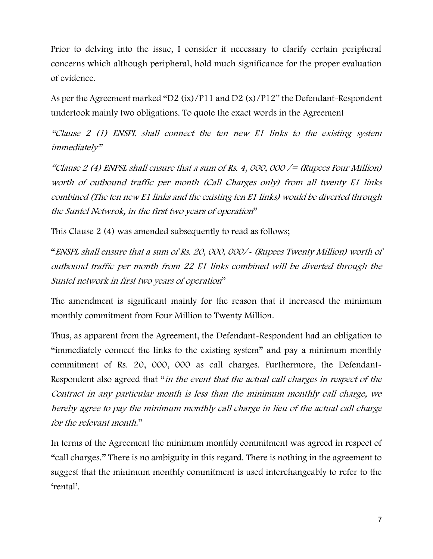Prior to delving into the issue, I consider it necessary to clarify certain peripheral concerns which although peripheral, hold much significance for the proper evaluation of evidence.

As per the Agreement marked "D2 (ix)/P11 and D2 (x)/P12" the Defendant-Respondent undertook mainly two obligations. To quote the exact words in the Agreement

"Clause 2 (1) ENSPL shall connect the ten new E1 links to the existing system immediately"

"Clause 2 (4) ENPSL shall ensure that a sum of Rs. 4, 000, 000  $/=(Rupees Four Million)$ worth of outbound traffic per month (Call Charges only) from all twenty E1 links combined (The ten new E1 links and the existing ten E1 links) would be diverted through the Suntel Netwrok, in the first two years of operation"

This Clause 2 (4) was amended subsequently to read as follows;

"ENSPL shall ensure that a sum of Rs. 20, 000, 000/- (Rupees Twenty Million) worth of outbound traffic per month from 22 E1 links combined will be diverted through the Suntel network in first two years of operation"

The amendment is significant mainly for the reason that it increased the minimum monthly commitment from Four Million to Twenty Million.

Thus, as apparent from the Agreement, the Defendant-Respondent had an obligation to "immediately connect the links to the existing system" and pay a minimum monthly commitment of Rs. 20, 000, 000 as call charges. Furthermore, the Defendant-Respondent also agreed that "in the event that the actual call charges in respect of the Contract in any particular month is less than the minimum monthly call charge, we hereby agree to pay the minimum monthly call charge in lieu of the actual call charge for the relevant month."

In terms of the Agreement the minimum monthly commitment was agreed in respect of "call charges." There is no ambiguity in this regard. There is nothing in the agreement to suggest that the minimum monthly commitment is used interchangeably to refer to the 'rental'.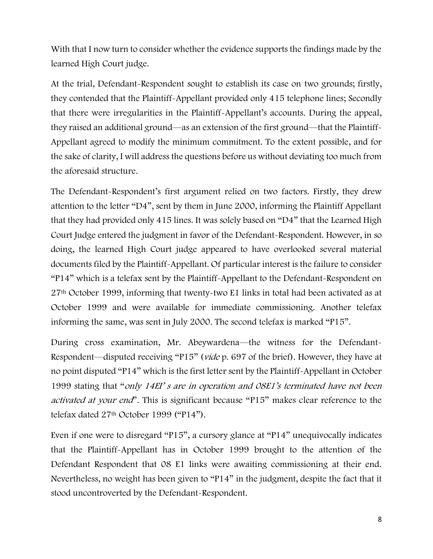With that I now turn to consider whether the evidence supports the findings made by the learned High Court judge.

At the trial, Defendant-Respondent sought to establish its case on two grounds; firstly, they contended that the Plaintiff-Appellant provided only 415 telephone lines; Secondly that there were irregularities in the Plaintiff-Appellant's accounts. During the appeal, they raised an additional ground—as an extension of the first ground—that the Plaintiff-Appellant agreed to modify the minimum commitment. To the extent possible, and for the sake of clarity, I will address the questions before us without deviating too much from the aforesaid structure.

The Defendant-Respondent's first argument relied on two factors. Firstly, they drew attention to the letter "D4", sent by them in June 2000, informing the Plaintiff Appellant that they had provided only 415 lines. It was solely based on "D4" that the Learned High Court Judge entered the judgment in favor of the Defendant-Respondent. However, in so doing, the learned High Court judge appeared to have overlooked several material documents filed by the Plaintiff-Appellant. Of particular interest is the failure to consider "P14" which is a telefax sent by the Plaintiff-Appellant to the Defendant-Respondent on 27th October 1999, informing that twenty-two E1 links in total had been activated as at October 1999 and were available for immediate commissioning. Another telefax informing the same, was sent in July 2000. The second telefax is marked "P15".

During cross examination, Mr. Abeywardena—the witness for the Defendant-Respondent—disputed receiving "P15" (vide p. 697 of the brief). However, they have at no point disputed "P14" which is the first letter sent by the Plaintiff-Appellant in October 1999 stating that "only 14EI' s are in operation and 08E1's terminated have not been activated at your end". This is significant because "P15" makes clear reference to the telefax dated 27th October 1999 ("P14").

Even if one were to disregard "P15", a cursory glance at "P14" unequivocally indicates that the Plaintiff-Appellant has in October 1999 brought to the attention of the Defendant Respondent that 08 E1 links were awaiting commissioning at their end. Nevertheless, no weight has been given to "P14" in the judgment, despite the fact that it stood uncontroverted by the Defendant-Respondent.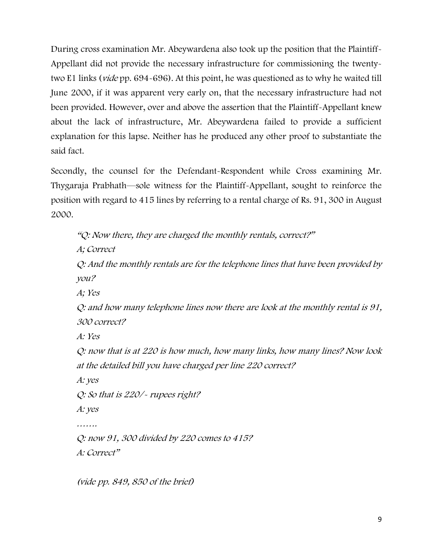During cross examination Mr. Abeywardena also took up the position that the Plaintiff-Appellant did not provide the necessary infrastructure for commissioning the twentytwo E1 links (vide pp. 694-696). At this point, he was questioned as to why he waited till June 2000, if it was apparent very early on, that the necessary infrastructure had not been provided. However, over and above the assertion that the Plaintiff-Appellant knew about the lack of infrastructure, Mr. Abeywardena failed to provide a sufficient explanation for this lapse. Neither has he produced any other proof to substantiate the said fact.

Secondly, the counsel for the Defendant-Respondent while Cross examining Mr. Thygaraja Prabhath—sole witness for the Plaintiff-Appellant, sought to reinforce the position with regard to 415 lines by referring to a rental charge of Rs. 91, 300 in August 2000.

```
"Q: Now there, they are charged the monthly rentals, correct?"
A; Correct
Q: And the monthly rentals are for the telephone lines that have been provided by 
you?
A; Yes
Q: and how many telephone lines now there are look at the monthly rental is 91, 
300 correct?
A: Yes
Q: now that is at 220 is how much, how many links, how many lines? Now look 
at the detailed bill you have charged per line 220 correct?
A: yes
Q: So that is 220/- rupees right? 
A: yes
…….
Q: now 91, 300 divided by 220 comes to 415?
A: Correct"
```
(vide pp. 849, 850 of the brief)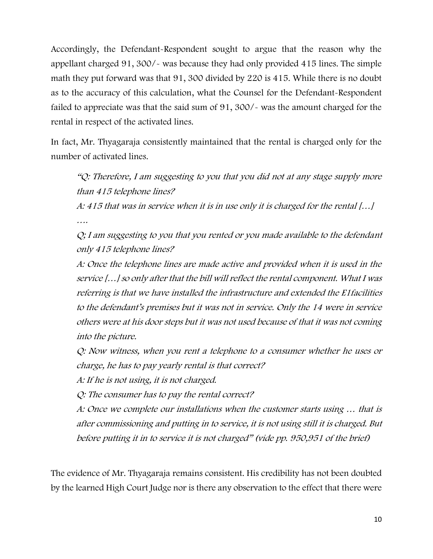Accordingly, the Defendant-Respondent sought to argue that the reason why the appellant charged 91, 300/- was because they had only provided 415 lines. The simple math they put forward was that 91, 300 divided by 220 is 415. While there is no doubt as to the accuracy of this calculation, what the Counsel for the Defendant-Respondent failed to appreciate was that the said sum of 91, 300/- was the amount charged for the rental in respect of the activated lines.

In fact, Mr. Thyagaraja consistently maintained that the rental is charged only for the number of activated lines.

"Q: Therefore, I am suggesting to you that you did not at any stage supply more than 415 telephone lines?

A: 415 that was in service when it is in use only it is charged for the rental […] ….

Q; I am suggesting to you that you rented or you made available to the defendant only 415 telephone lines?

A: Once the telephone lines are made active and provided when it is used in the service […] so only after that the bill will reflect the rental component. What I was referring is that we have installed the infrastructure and extended the E1facilities to the defendant's premises but it was not in service. Only the 14 were in service others were at his door steps but it was not used because of that it was not coming into the picture.

Q: Now witness, when you rent a telephone to a consumer whether he uses or charge, he has to pay yearly rental is that correct?

A: If he is not using, it is not charged.

Q: The consumer has to pay the rental correct?

A: Once we complete our installations when the customer starts using … that is after commissioning and putting in to service, it is not using still it is charged. But before putting it in to service it is not charged" (vide pp. 950,951 of the brief)

The evidence of Mr. Thyagaraja remains consistent. His credibility has not been doubted by the learned High Court Judge nor is there any observation to the effect that there were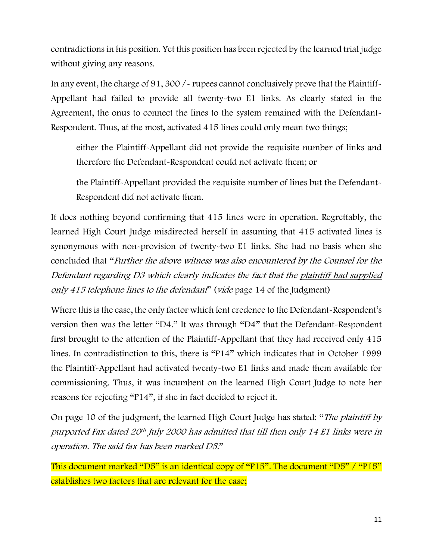contradictions in his position. Yet this position has been rejected by the learned trial judge without giving any reasons.

In any event, the charge of 91, 300 /- rupees cannot conclusively prove that the Plaintiff-Appellant had failed to provide all twenty-two E1 links. As clearly stated in the Agreement, the onus to connect the lines to the system remained with the Defendant-Respondent. Thus, at the most, activated 415 lines could only mean two things;

either the Plaintiff-Appellant did not provide the requisite number of links and therefore the Defendant-Respondent could not activate them; or

the Plaintiff-Appellant provided the requisite number of lines but the Defendant-Respondent did not activate them.

It does nothing beyond confirming that 415 lines were in operation. Regrettably, the learned High Court Judge misdirected herself in assuming that 415 activated lines is synonymous with non-provision of twenty-two E1 links. She had no basis when she concluded that "Further the above witness was also encountered by the Counsel for the Defendant regarding D3 which clearly indicates the fact that the plaintiff had supplied only 415 telephone lines to the defendant" (vide page 14 of the Judgment)

Where this is the case, the only factor which lent credence to the Defendant-Respondent's version then was the letter "D4." It was through "D4" that the Defendant-Respondent first brought to the attention of the Plaintiff-Appellant that they had received only 415 lines. In contradistinction to this, there is "P14" which indicates that in October 1999 the Plaintiff-Appellant had activated twenty-two E1 links and made them available for commissioning. Thus, it was incumbent on the learned High Court Judge to note her reasons for rejecting "P14", if she in fact decided to reject it.

On page 10 of the judgment, the learned High Court Judge has stated: "The plaintiff by purported Fax dated 20th July 2000 has admitted that till then only 14 E1 links were in operation. The said fax has been marked D5."

This document marked "D5" is an identical copy of "P15". The document "D5" / "P15" establishes two factors that are relevant for the case;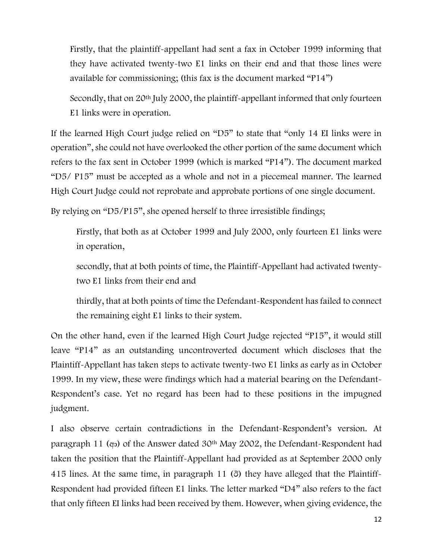Firstly, that the plaintiff-appellant had sent a fax in October 1999 informing that they have activated twenty-two E1 links on their end and that those lines were available for commissioning; (this fax is the document marked "P14")

Secondly, that on 20th July 2000, the plaintiff-appellant informed that only fourteen E1 links were in operation.

If the learned High Court judge relied on "D5" to state that "only 14 EI links were in operation", she could not have overlooked the other portion of the same document which refers to the fax sent in October 1999 (which is marked "P14"). The document marked "D5/ P15" must be accepted as a whole and not in a piecemeal manner. The learned High Court Judge could not reprobate and approbate portions of one single document.

By relying on "D5/P15", she opened herself to three irresistible findings;

Firstly, that both as at October 1999 and July 2000, only fourteen E1 links were in operation,

secondly, that at both points of time, the Plaintiff-Appellant had activated twentytwo E1 links from their end and

thirdly, that at both points of time the Defendant-Respondent has failed to connect the remaining eight E1 links to their system.

On the other hand, even if the learned High Court Judge rejected "P15", it would still leave "P14" as an outstanding uncontroverted document which discloses that the Plaintiff-Appellant has taken steps to activate twenty-two E1 links as early as in October 1999. In my view, these were findings which had a material bearing on the Defendant-Respondent's case. Yet no regard has been had to these positions in the impugned judgment.

I also observe certain contradictions in the Defendant-Respondent's version. At paragraph 11 (අං) of the Answer dated 30<sup>th</sup> May 2002, the Defendant-Respondent had taken the position that the Plaintiff-Appellant had provided as at September 2000 only 415 lines. At the same time, in paragraph 11 (ඊ) they have alleged that the Plaintiff-Respondent had provided fifteen E1 links. The letter marked "D4" also refers to the fact that only fifteen EI links had been received by them. However, when giving evidence, the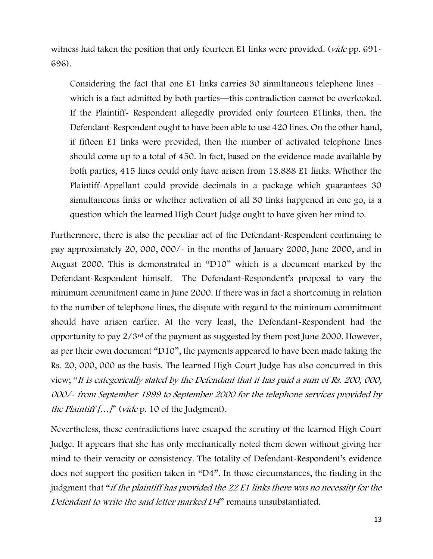witness had taken the position that only fourteen E1 links were provided. (*vide* pp. 691-696).

Considering the fact that one E1 links carries 30 simultaneous telephone lines – which is a fact admitted by both parties—this contradiction cannot be overlooked. If the Plaintiff- Respondent allegedly provided only fourteen E1links, then, the Defendant-Respondent ought to have been able to use 420 lines. On the other hand, if fifteen E1 links were provided, then the number of activated telephone lines should come up to a total of 450. In fact, based on the evidence made available by both parties, 415 lines could only have arisen from 13.888 E1 links. Whether the Plaintiff-Appellant could provide decimals in a package which guarantees 30 simultaneous links or whether activation of all 30 links happened in one go, is a question which the learned High Court Judge ought to have given her mind to.

Furthermore, there is also the peculiar act of the Defendant-Respondent continuing to pay approximately 20, 000, 000/- in the months of January 2000, June 2000, and in August 2000. This is demonstrated in "D10" which is a document marked by the Defendant-Respondent himself. The Defendant-Respondent's proposal to vary the minimum commitment came in June 2000. If there was in fact a shortcoming in relation to the number of telephone lines, the dispute with regard to the minimum commitment should have arisen earlier. At the very least, the Defendant-Respondent had the opportunity to pay 2/3rd of the payment as suggested by them post June 2000. However, as per their own document "D10", the payments appeared to have been made taking the Rs. 20, 000, 000 as the basis. The learned High Court Judge has also concurred in this view; "It is categorically stated by the Defendant that it has paid a sum of Rs. 200, 000, 000/- from September 1999 to September 2000 for the telephone services provided by the Plaintiff  $\left[ \ldots \right]$ " (vide p. 10 of the Judgment).

Nevertheless, these contradictions have escaped the scrutiny of the learned High Court Judge. It appears that she has only mechanically noted them down without giving her mind to their veracity or consistency. The totality of Defendant-Respondent's evidence does not support the position taken in "D4". In those circumstances, the finding in the judgment that "if the plaintiff has provided the 22 E1 links there was no necessity for the Defendant to write the said letter marked D4" remains unsubstantiated.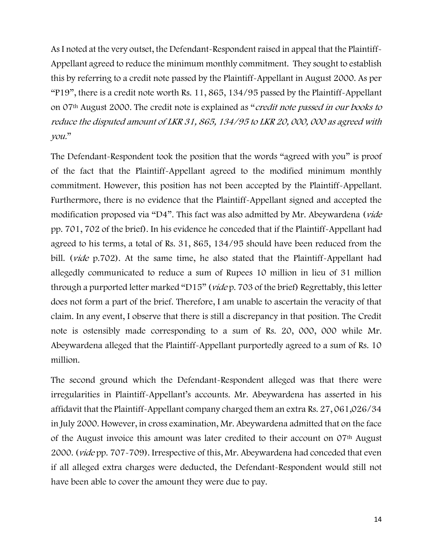As I noted at the very outset, the Defendant-Respondent raised in appeal that the Plaintiff-Appellant agreed to reduce the minimum monthly commitment. They sought to establish this by referring to a credit note passed by the Plaintiff-Appellant in August 2000. As per "P19", there is a credit note worth Rs. 11, 865, 134/95 passed by the Plaintiff-Appellant on 07th August 2000. The credit note is explained as "credit note passed in our books to reduce the disputed amount of LKR 31, 865, 134/95 to LKR 20, 000, 000 as agreed with you."

The Defendant-Respondent took the position that the words "agreed with you" is proof of the fact that the Plaintiff-Appellant agreed to the modified minimum monthly commitment. However, this position has not been accepted by the Plaintiff-Appellant. Furthermore, there is no evidence that the Plaintiff-Appellant signed and accepted the modification proposed via "D4". This fact was also admitted by Mr. Abeywardena (vide pp. 701, 702 of the brief). In his evidence he conceded that if the Plaintiff-Appellant had agreed to his terms, a total of Rs. 31, 865, 134/95 should have been reduced from the bill. (*vide* p.702). At the same time, he also stated that the Plaintiff-Appellant had allegedly communicated to reduce a sum of Rupees 10 million in lieu of 31 million through a purported letter marked "D15" (vide p. 703 of the brief) Regrettably, this letter does not form a part of the brief. Therefore, I am unable to ascertain the veracity of that claim. In any event, I observe that there is still a discrepancy in that position. The Credit note is ostensibly made corresponding to a sum of Rs. 20, 000, 000 while Mr. Abeywardena alleged that the Plaintiff-Appellant purportedly agreed to a sum of Rs. 10 million.

The second ground which the Defendant-Respondent alleged was that there were irregularities in Plaintiff-Appellant's accounts. Mr. Abeywardena has asserted in his affidavit that the Plaintiff-Appellant company charged them an extra Rs. 27, 061,026/34 in July 2000. However, in cross examination, Mr. Abeywardena admitted that on the face of the August invoice this amount was later credited to their account on 07th August 2000. (vide pp. 707-709). Irrespective of this, Mr. Abeywardena had conceded that even if all alleged extra charges were deducted, the Defendant-Respondent would still not have been able to cover the amount they were due to pay.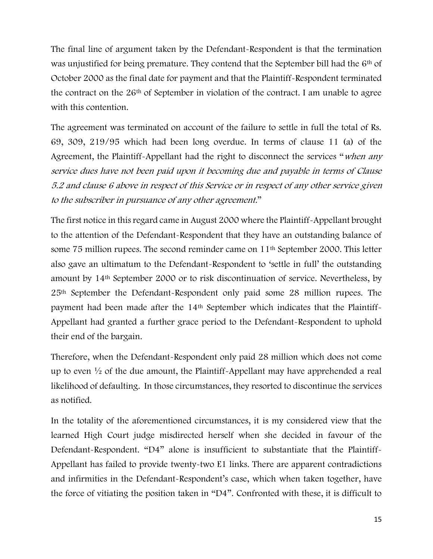The final line of argument taken by the Defendant-Respondent is that the termination was unjustified for being premature. They contend that the September bill had the 6<sup>th</sup> of October 2000 as the final date for payment and that the Plaintiff-Respondent terminated the contract on the 26th of September in violation of the contract. I am unable to agree with this contention.

The agreement was terminated on account of the failure to settle in full the total of Rs. 69, 309, 219/95 which had been long overdue. In terms of clause 11 (a) of the Agreement, the Plaintiff-Appellant had the right to disconnect the services "when any service dues have not been paid upon it becoming due and payable in terms of Clause 5.2 and clause 6 above in respect of this Service or in respect of any other service given to the subscriber in pursuance of any other agreement."

The first notice in this regard came in August 2000 where the Plaintiff-Appellant brought to the attention of the Defendant-Respondent that they have an outstanding balance of some 75 million rupees. The second reminder came on 11th September 2000. This letter also gave an ultimatum to the Defendant-Respondent to 'settle in full' the outstanding amount by 14th September 2000 or to risk discontinuation of service. Nevertheless, by 25th September the Defendant-Respondent only paid some 28 million rupees. The payment had been made after the 14th September which indicates that the Plaintiff-Appellant had granted a further grace period to the Defendant-Respondent to uphold their end of the bargain.

Therefore, when the Defendant-Respondent only paid 28 million which does not come up to even ½ of the due amount, the Plaintiff-Appellant may have apprehended a real likelihood of defaulting. In those circumstances, they resorted to discontinue the services as notified.

In the totality of the aforementioned circumstances, it is my considered view that the learned High Court judge misdirected herself when she decided in favour of the Defendant-Respondent. "D4" alone is insufficient to substantiate that the Plaintiff-Appellant has failed to provide twenty-two E1 links. There are apparent contradictions and infirmities in the Defendant-Respondent's case, which when taken together, have the force of vitiating the position taken in "D4". Confronted with these, it is difficult to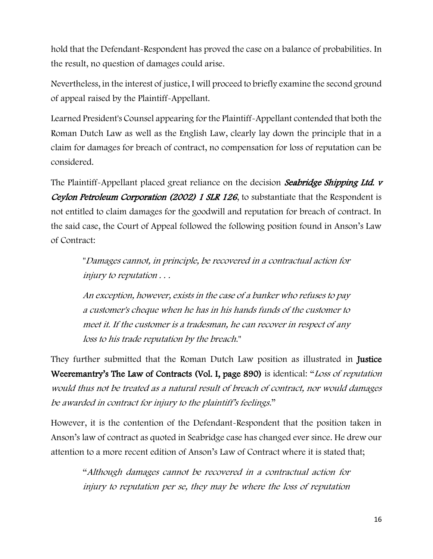hold that the Defendant-Respondent has proved the case on a balance of probabilities. In the result, no question of damages could arise.

Nevertheless, in the interest of justice, I will proceed to briefly examine the second ground of appeal raised by the Plaintiff-Appellant.

Learned President's Counsel appearing for the Plaintiff-Appellant contended that both the Roman Dutch Law as well as the English Law, clearly lay down the principle that in a claim for damages for breach of contract, no compensation for loss of reputation can be considered.

The Plaintiff-Appellant placed great reliance on the decision Seabridge Shipping Ltd. v Ceylon Petroleum Corporation (2002) 1 SLR 126, to substantiate that the Respondent is not entitled to claim damages for the goodwill and reputation for breach of contract. In the said case, the Court of Appeal followed the following position found in Anson's Law of Contract:

"Damages cannot, in principle, be recovered in a contractual action for injury to reputation . . .

An exception, however, exists in the case of a banker who refuses to pay a customer's cheque when he has in his hands funds of the customer to meet it. If the customer is a tradesman, he can recover in respect of any loss to his trade reputation by the breach."

They further submitted that the Roman Dutch Law position as illustrated in Justice Weeremantry's The Law of Contracts (Vol. I, page 890) is identical: "Loss of reputation would thus not be treated as a natural result of breach of contract, nor would damages be awarded in contract for injury to the plaintiff's feelings."

However, it is the contention of the Defendant-Respondent that the position taken in Anson's law of contract as quoted in Seabridge case has changed ever since. He drew our attention to a more recent edition of Anson's Law of Contract where it is stated that;

"Although damages cannot be recovered in a contractual action for injury to reputation per se, they may be where the loss of reputation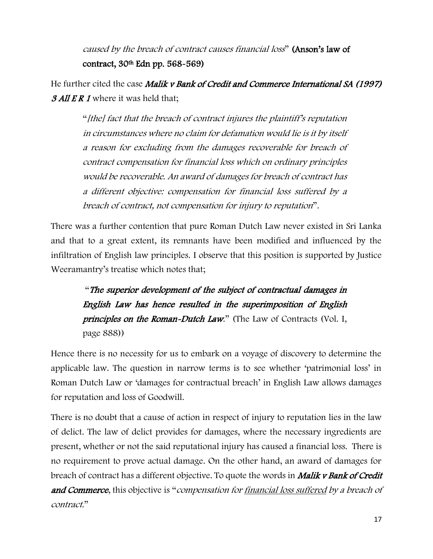caused by the breach of contract causes financial loss" (Anson's law of contract, 30th Edn pp. 568-569)

He further cited the case Malik v Bank of Credit and Commerce International SA (1997) **3 All E R 1** where it was held that:

"[the] fact that the breach of contract injures the plaintiff's reputation in circumstances where no claim for defamation would lie is it by itself a reason for excluding from the damages recoverable for breach of contract compensation for financial loss which on ordinary principles would be recoverable. An award of damages for breach of contract has a different objective: compensation for financial loss suffered by a breach of contract, not compensation for injury to reputation".

There was a further contention that pure Roman Dutch Law never existed in Sri Lanka and that to a great extent, its remnants have been modified and influenced by the infiltration of English law principles. I observe that this position is supported by Justice Weeramantry's treatise which notes that;

"The superior development of the subject of contractual damages in English Law has hence resulted in the superimposition of English principles on the Roman-Dutch Law." (The Law of Contracts (Vol. I, page 888))

Hence there is no necessity for us to embark on a voyage of discovery to determine the applicable law. The question in narrow terms is to see whether 'patrimonial loss' in Roman Dutch Law or 'damages for contractual breach' in English Law allows damages for reputation and loss of Goodwill.

There is no doubt that a cause of action in respect of injury to reputation lies in the law of delict. The law of delict provides for damages, where the necessary ingredients are present, whether or not the said reputational injury has caused a financial loss. There is no requirement to prove actual damage. On the other hand, an award of damages for breach of contract has a different objective. To quote the words in **Malik v Bank of Credit** and Commerce, this objective is "compensation for financial loss suffered by a breach of contract."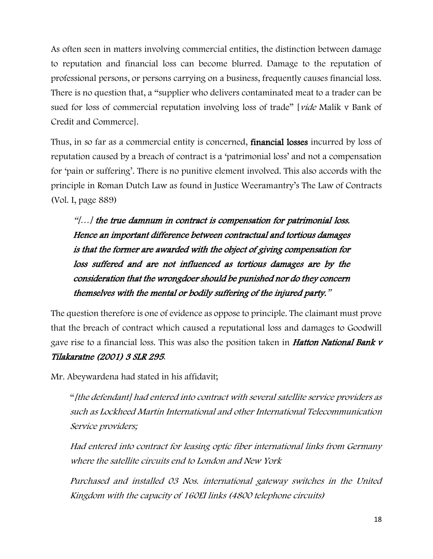As often seen in matters involving commercial entities, the distinction between damage to reputation and financial loss can become blurred. Damage to the reputation of professional persons, or persons carrying on a business, frequently causes financial loss. There is no question that, a "supplier who delivers contaminated meat to a trader can be sued for loss of commercial reputation involving loss of trade" [vide Malik v Bank of Credit and Commerce].

Thus, in so far as a commercial entity is concerned, financial losses incurred by loss of reputation caused by a breach of contract is a 'patrimonial loss' and not a compensation for 'pain or suffering'. There is no punitive element involved. This also accords with the principle in Roman Dutch Law as found in Justice Weeramantry's The Law of Contracts (Vol. I, page 889)

"[…] the true damnum in contract is compensation for patrimonial loss. Hence an important difference between contractual and tortious damages is that the former are awarded with the object of giving compensation for loss suffered and are not influenced as tortious damages are by the consideration that the wrongdoer should be punished nor do they concern themselves with the mental or bodily suffering of the injured party."

The question therefore is one of evidence as oppose to principle. The claimant must prove that the breach of contract which caused a reputational loss and damages to Goodwill gave rise to a financial loss. This was also the position taken in **Hatton National Bank v** Tilakaratne (2001) 3 SLR 295.

Mr. Abeywardena had stated in his affidavit;

"[the defendant] had entered into contract with several satellite service providers as such as Lockheed Martin International and other International Telecommunication Service providers;

Had entered into contract for leasing optic fiber international links from Germany where the satellite circuits end to London and New York

Purchased and installed 03 Nos. international gateway switches in the United Kingdom with the capacity of 160EI links (4800 telephone circuits)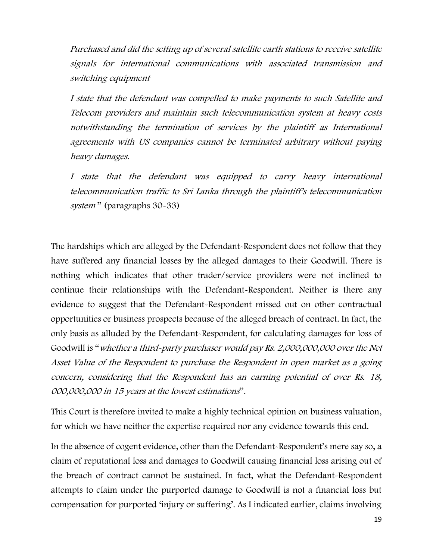Purchased and did the setting up of several satellite earth stations to receive satellite signals for international communications with associated transmission and switching equipment

I state that the defendant was compelled to make payments to such Satellite and Telecom providers and maintain such telecommunication system at heavy costs notwithstanding the termination of services by the plaintiff as International agreements with US companies cannot be terminated arbitrary without paying heavy damages.

I state that the defendant was equipped to carry heavy international telecommunication traffic to Sri Lanka through the plaintiff's telecommunication system" (paragraphs 30-33)

The hardships which are alleged by the Defendant-Respondent does not follow that they have suffered any financial losses by the alleged damages to their Goodwill. There is nothing which indicates that other trader/service providers were not inclined to continue their relationships with the Defendant-Respondent. Neither is there any evidence to suggest that the Defendant-Respondent missed out on other contractual opportunities or business prospects because of the alleged breach of contract. In fact, the only basis as alluded by the Defendant-Respondent, for calculating damages for loss of Goodwill is "whether a third-party purchaser would pay Rs. 2,000,000,000 over the Net Asset Value of the Respondent to purchase the Respondent in open market as a going concern, considering that the Respondent has an earning potential of over Rs. 18, 000,000,000 in 15 years at the lowest estimations".

This Court is therefore invited to make a highly technical opinion on business valuation, for which we have neither the expertise required nor any evidence towards this end.

In the absence of cogent evidence, other than the Defendant-Respondent's mere say so, a claim of reputational loss and damages to Goodwill causing financial loss arising out of the breach of contract cannot be sustained. In fact, what the Defendant-Respondent attempts to claim under the purported damage to Goodwill is not a financial loss but compensation for purported 'injury or suffering'. As I indicated earlier, claims involving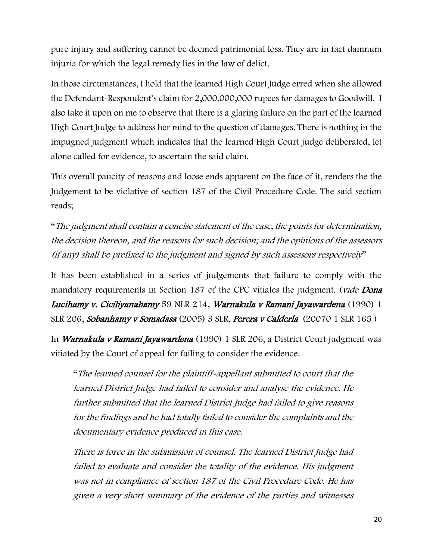pure injury and suffering cannot be deemed patrimonial loss. They are in fact damnum injuria for which the legal remedy lies in the law of delict.

In those circumstances, I hold that the learned High Court Judge erred when she allowed the Defendant-Respondent's claim for 2,000,000,000 rupees for damages to Goodwill. I also take it upon on me to observe that there is a glaring failure on the part of the learned High Court Judge to address her mind to the question of damages. There is nothing in the impugned judgment which indicates that the learned High Court judge deliberated, let alone called for evidence, to ascertain the said claim.

This overall paucity of reasons and loose ends apparent on the face of it, renders the the Judgement to be violative of section 187 of the Civil Procedure Code. The said section reads;

"The judgment shall contain a concise statement of the case, the points for determination, the decision thereon, and the reasons for such decision; and the opinions of the assessors (if any) shall be prefixed to the judgment and signed by such assessors respectively"

It has been established in a series of judgements that failure to comply with the mandatory requirements in Section 187 of the CPC vitiates the judgment. (vide Dona Lucihamy v. Ciciliyanahamy 59 NLR 214, Warnakula v Ramani Jayawardena (1990) 1 SLR 206, Sobanhamy v Somadasa (2005) 3 SLR, Perera v Calderla (20070 1 SLR 165 )

In Warnakula v Ramani Jayawardena (1990) 1 SLR 206, a District Court judgment was vitiated by the Court of appeal for failing to consider the evidence.

"The learned counsel for the plaintiff-appellant submitted to court that the learned District Judge had failed to consider and analyse the evidence. He further submitted that the learned District Judge had failed to give reasons for the findings and he had totally failed to consider the complaints and the documentary evidence produced in this case.

There is force in the submission of counsel. The learned District Judge had failed to evaluate and consider the totality of the evidence. His judgment was not in compliance of section 187 of the Civil Procedure Code. He has given a very short summary of the evidence of the parties and witnesses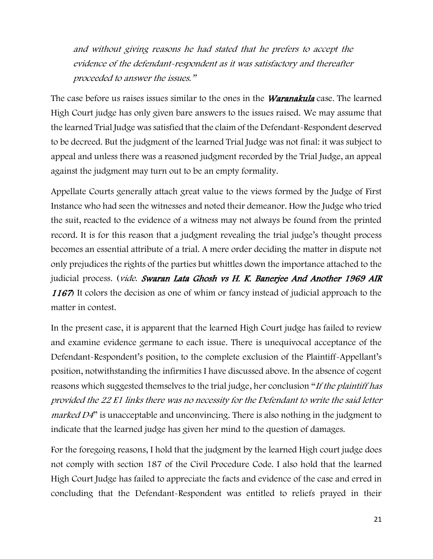and without giving reasons he had stated that he prefers to accept the evidence of the defendant-respondent as it was satisfactory and thereafter proceeded to answer the issues."

The case before us raises issues similar to the ones in the *Waranakula* case. The learned High Court judge has only given bare answers to the issues raised. We may assume that the learned Trial Judge was satisfied that the claim of the Defendant-Respondent deserved to be decreed. But the judgment of the learned Trial Judge was not final: it was subject to appeal and unless there was a reasoned judgment recorded by the Trial Judge, an appeal against the judgment may turn out to be an empty formality.

Appellate Courts generally attach great value to the views formed by the Judge of First Instance who had seen the witnesses and noted their demeanor. How the Judge who tried the suit, reacted to the evidence of a witness may not always be found from the printed record. It is for this reason that a judgment revealing the trial judge's thought process becomes an essential attribute of a trial. A mere order deciding the matter in dispute not only prejudices the rights of the parties but whittles down the importance attached to the judicial process. (vide. Swaran Lata Ghosh vs H. K. Banerjee And Another 1969 AIR <sup>1167</sup>) It colors the decision as one of whim or fancy instead of judicial approach to the matter in contest.

In the present case, it is apparent that the learned High Court judge has failed to review and examine evidence germane to each issue. There is unequivocal acceptance of the Defendant-Respondent's position, to the complete exclusion of the Plaintiff-Appellant's position, notwithstanding the infirmities I have discussed above. In the absence of cogent reasons which suggested themselves to the trial judge, her conclusion "If the plaintiff has provided the 22 E1 links there was no necessity for the Defendant to write the said letter *marked D4* $\degree$  is unacceptable and unconvincing. There is also nothing in the judgment to indicate that the learned judge has given her mind to the question of damages.

For the foregoing reasons, I hold that the judgment by the learned High court judge does not comply with section 187 of the Civil Procedure Code. I also hold that the learned High Court Judge has failed to appreciate the facts and evidence of the case and erred in concluding that the Defendant-Respondent was entitled to reliefs prayed in their